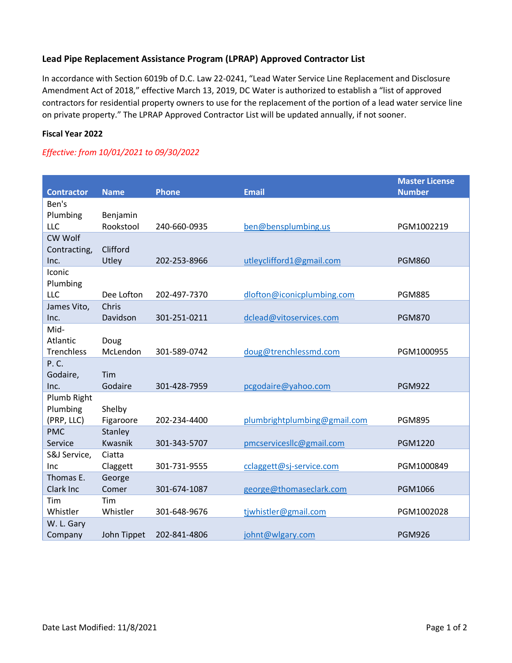## **Lead Pipe Replacement Assistance Program (LPRAP) Approved Contractor List**

In accordance with Section 6019b of D.C. Law 22-0241, "Lead Water Service Line Replacement and Disclosure Amendment Act of 2018," effective March 13, 2019, DC Water is authorized to establish a "list of approved contractors for residential property owners to use for the replacement of the portion of a lead water service line on private property." The LPRAP Approved Contractor List will be updated annually, if not sooner.

## **Fiscal Year 2022**

## *Effective: from 10/01/2021 to 09/30/2022*

| <b>Contractor</b>       | <b>Name</b>    | <b>Phone</b> | <b>Email</b>                 | <b>Master License</b><br><b>Number</b> |
|-------------------------|----------------|--------------|------------------------------|----------------------------------------|
| Ben's                   |                |              |                              |                                        |
| Plumbing                | Benjamin       |              |                              |                                        |
| LLC                     | Rookstool      | 240-660-0935 | ben@bensplumbing.us          | PGM1002219                             |
| CW Wolf                 |                |              |                              |                                        |
| Contracting,            | Clifford       |              |                              |                                        |
| Inc.                    | Utley          | 202-253-8966 | utleyclifford1@gmail.com     | <b>PGM860</b>                          |
| Iconic                  |                |              |                              |                                        |
| Plumbing                |                |              |                              |                                        |
| LLC                     | Dee Lofton     | 202-497-7370 | dlofton@iconicplumbing.com   | <b>PGM885</b>                          |
| James Vito,             | Chris          |              |                              |                                        |
| Inc.                    | Davidson       | 301-251-0211 | dclead@vitoservices.com      | <b>PGM870</b>                          |
| Mid-                    |                |              |                              |                                        |
| Atlantic                | Doug           |              |                              |                                        |
| <b>Trenchless</b>       | McLendon       | 301-589-0742 | doug@trenchlessmd.com        | PGM1000955                             |
| P.C.                    |                |              |                              |                                        |
| Godaire,<br>Inc.        | Tim<br>Godaire | 301-428-7959 | pcgodaire@yahoo.com          | <b>PGM922</b>                          |
|                         |                |              |                              |                                        |
| Plumb Right<br>Plumbing | Shelby         |              |                              |                                        |
| (PRP, LLC)              | Figaroore      | 202-234-4400 | plumbrightplumbing@gmail.com | <b>PGM895</b>                          |
| <b>PMC</b>              | Stanley        |              |                              |                                        |
| Service                 | Kwasnik        | 301-343-5707 | pmcservicesllc@gmail.com     | <b>PGM1220</b>                         |
| S&J Service,            | Ciatta         |              |                              |                                        |
| Inc                     | Claggett       | 301-731-9555 | cclaggett@sj-service.com     | PGM1000849                             |
| Thomas E.               | George         |              |                              |                                        |
| Clark Inc               | Comer          | 301-674-1087 | george@thomaseclark.com      | PGM1066                                |
| Tim                     | Tim            |              |                              |                                        |
| Whistler                | Whistler       | 301-648-9676 | tjwhistler@gmail.com         | PGM1002028                             |
| W. L. Gary              |                |              |                              |                                        |
| Company                 | John Tippet    | 202-841-4806 | johnt@wlgary.com             | <b>PGM926</b>                          |